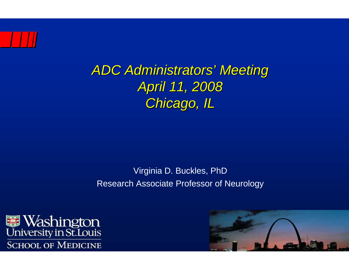

## **ADC Administrators' Meeting** *April 11, 2008 April 11, 2008 Chicago, IL Chicago, IL*

#### Virginia D. Buckles, PhD Research Associate Professor of Neurology



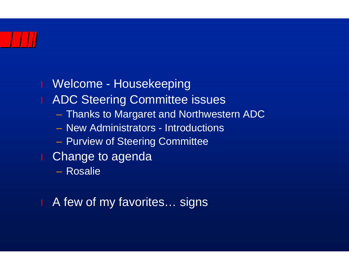

## Welcome - Housekeeping

- ADC Steering Committee issues
	- Thanks to Margaret and Northwestern ADC
	- New Administrators Introductions
	- Purview of Steering Committee
	- Change to agenda
		- Rosalie

## A few of my favorites... signs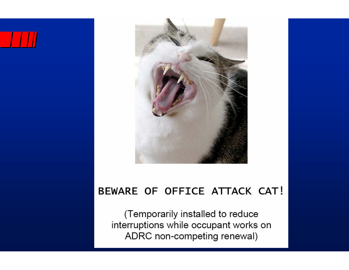



#### BEWARE OF OFFICE ATTACK CAT!

(Temporarily installed to reduce interruptions while occupant works on ADRC non-competing renewal)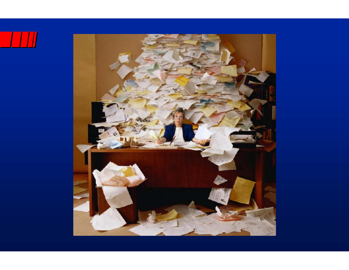

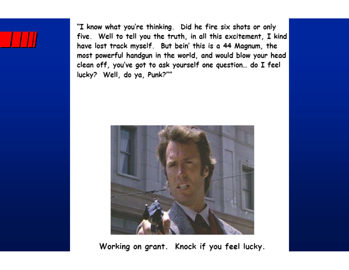

"I know what you're thinking. Did he fire six shots or only five. Well to tell you the truth, in all this excitement, I kind have lost track myself. But bein' this is a 44 Magnum, the most powerful handgun in the world, and would blow your head clean off, you've got to ask yourself one question... do I feel lucky? Well, do ya, Punk?""



Working on grant. Knock if you feel lucky.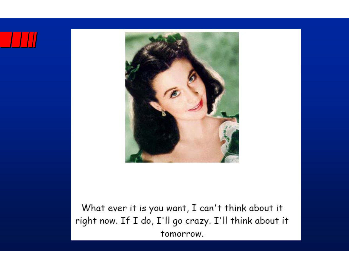



What ever it is you want, I can't think about it right now. If I do, I'll go crazy. I'll think about it tomorrow.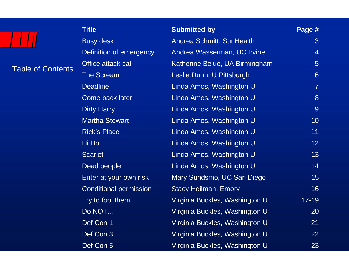|                          | <b>Title</b>                  | <b>Submitted by</b>            | Page #         |
|--------------------------|-------------------------------|--------------------------------|----------------|
|                          | <b>Busy desk</b>              | Andrea Schmitt, SunHealth      | 3              |
|                          | Definition of emergency       | Andrea Wasserman, UC Irvine    | 4              |
| <b>Table of Contents</b> | Office attack cat             | Katherine Belue, UA Birmingham | $5\phantom{1}$ |
|                          | <b>The Scream</b>             | Leslie Dunn, U Pittsburgh      | $6\phantom{1}$ |
|                          | <b>Deadline</b>               | Linda Amos, Washington U       | $\overline{7}$ |
|                          | Come back later               | Linda Amos, Washington U       | 8              |
|                          | <b>Dirty Harry</b>            | Linda Amos, Washington U       | 9              |
|                          | <b>Martha Stewart</b>         | Linda Amos, Washington U       | 10             |
|                          | <b>Rick's Place</b>           | Linda Amos, Washington U       | 11             |
|                          | Hi Ho                         | Linda Amos, Washington U       | 12             |
|                          | <b>Scarlet</b>                | Linda Amos, Washington U       | 13             |
|                          | Dead people                   | Linda Amos, Washington U       | 14             |
|                          | Enter at your own risk        | Mary Sundsmo, UC San Diego     | 15             |
|                          | <b>Conditional permission</b> | <b>Stacy Heilman, Emory</b>    | 16             |
|                          | Try to fool them              | Virginia Buckles, Washington U | $17 - 19$      |
|                          | Do NOT                        | Virginia Buckles, Washington U | 20             |
|                          | Def Con 1                     | Virginia Buckles, Washington U | 21             |
|                          | Def Con 3                     | Virginia Buckles, Washington U | 22             |
|                          | Def Con 5                     | Virginia Buckles, Washington U | 23             |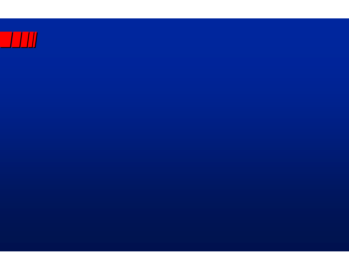